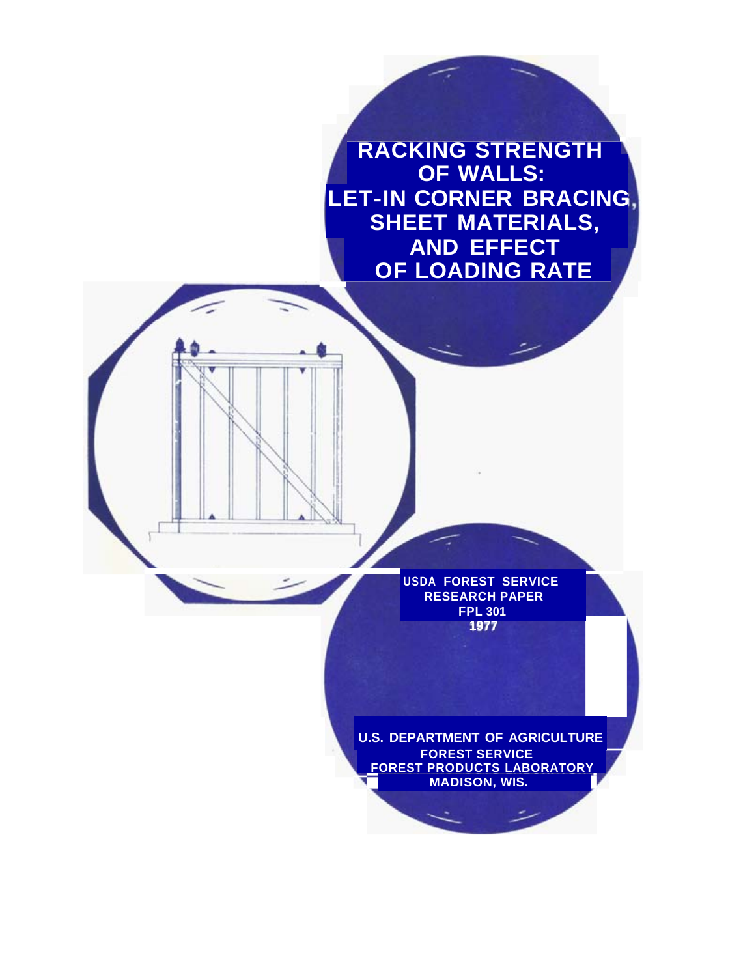**RACKING STRENGTH OF WALLS: SHEET MATERIALS, AND EFFECT OF LOADING RATE LET-IN CORNER BRACING,** 

> **USDA FOREST SERVICE RESEARCH PAPER FPL 301 1977**

**FOREST SERVICE FOREST PRODUCTS LABORATORY MADISON, WIS. U.S. DEPARTMENT OF AGRICULTURE**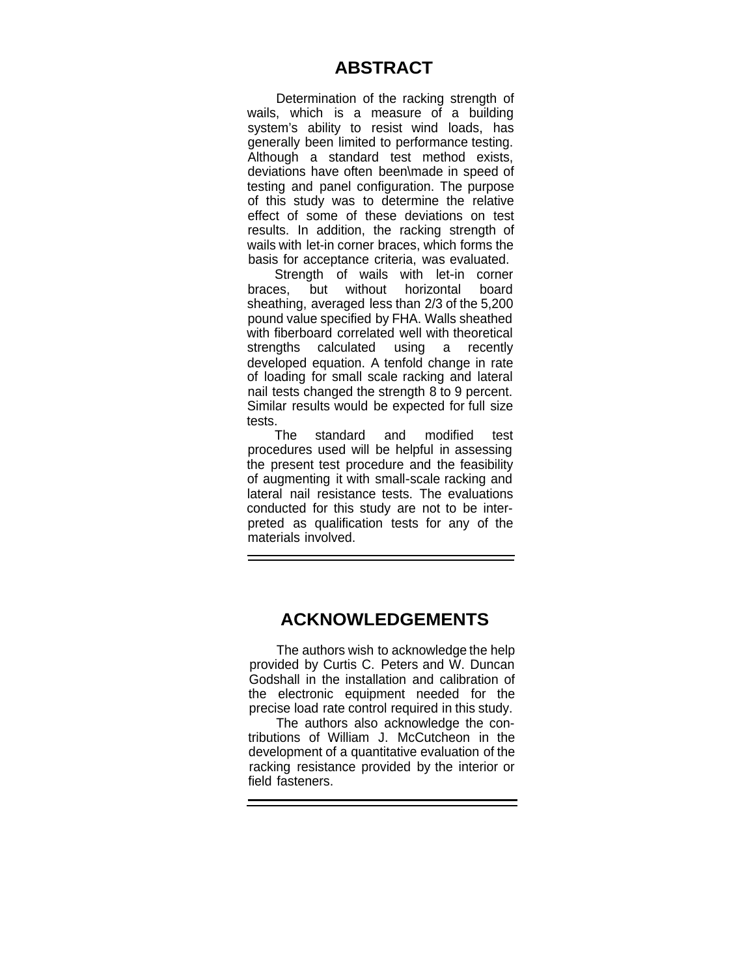### **ABSTRACT**

Determination of the racking strength of wails, which is a measure of a building system's ability to resist wind loads, has generally been limited to performance testing. Although a standard test method exists, deviations have often been\made in speed of testing and panel configuration. The purpose of this study was to determine the relative effect of some of these deviations on test results. In addition, the racking strength of wails with let-in corner braces, which forms the basis for acceptance criteria, was evaluated.

Strength of wails with let-in corner braces, but without horizontal board sheathing, averaged less than 2/3 of the 5,200 pound value specified by FHA. Walls sheathed with fiberboard correlated well with theoretical strengths calculated using a recently developed equation. A tenfold change in rate of loading for small scale racking and lateral nail tests changed the strength 8 to 9 percent. Similar results would be expected for full size tests.

The standard and modified test procedures used will be helpful in assessing the present test procedure and the feasibility of augmenting it with small-scale racking and lateral nail resistance tests. The evaluations conducted for this study are not to be interpreted as qualification tests for any of the materials involved.

### **ACKNOWLEDGEMENTS**

The authors wish to acknowledge the help provided by Curtis C. Peters and W. Duncan Godshall in the installation and calibration of the electronic equipment needed for the precise load rate control required in this study.

The authors also acknowledge the contributions of William J. McCutcheon in the development of a quantitative evaluation of the racking resistance provided by the interior or field fasteners.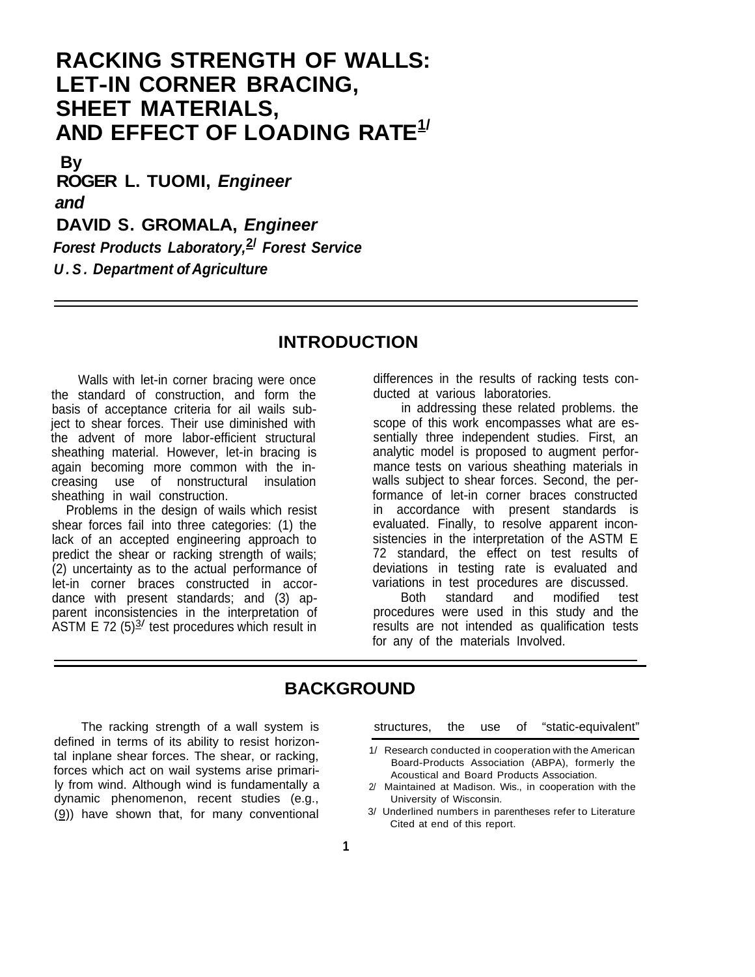# **RACKING STRENGTH OF WALLS: LET-IN CORNER BRACING, SHEET MATERIALS, AND EFFECT OF LOADING RATE1/**

**By ROGER L. TUOMI,** *Engineer and*  **DAVID S. GROMALA,** *Engineer Forest Products Laboratory,***2/** *Forest Service U.S. Department of Agriculture* 

### **INTRODUCTION**

Walls with let-in corner bracing were once the standard of construction, and form the basis of acceptance criteria for ail wails subject to shear forces. Their use diminished with the advent of more labor-efficient structural sheathing material. However, let-in bracing is again becoming more common with the increasing use of nonstructural insulation sheathing in wail construction.

Problems in the design of wails which resist shear forces fail into three categories: (1) the lack of an accepted engineering approach to predict the shear or racking strength of wails; (2) uncertainty as to the actual performance of let-in corner braces constructed in accordance with present standards; and (3) apparent inconsistencies in the interpretation of ASTM E 72  $(5)^{3/2}$  test procedures which result in

differences in the results of racking tests conducted at various laboratories.

in addressing these related problems. the scope of this work encompasses what are essentially three independent studies. First, an analytic model is proposed to augment performance tests on various sheathing materials in walls subject to shear forces. Second, the performance of let-in corner braces constructed in accordance with present standards is evaluated. Finally, to resolve apparent inconsistencies in the interpretation of the ASTM E 72 standard, the effect on test results of deviations in testing rate is evaluated and variations in test procedures are discussed.<br>Both standard and modified test

Both standard and modified test procedures were used in this study and the results are not intended as qualification tests for any of the materials Involved.

### **BACKGROUND**

defined in terms of its ability to resist horizontal inplane shear forces. The shear, or racking, 1/ Research conducted in cooperation with the American<br>Board-Products Association (ABPA), formerly the Forces which act on wail systems arise primari-<br>In the acoustical and Board Products Association.<br>In the form wind. Although wind is fundamentally a sell and Board Products Association. dynamic phenomenon, recent studies (e.g., example university of Wisconsin.<br>(9) have shown that for many conventional and 3/ Underlined numbers in parentheses refer to Literature  $(9)$ ) have shown that, for many conventional

The racking strength of a wall system is structures, the use of "static-equivalent"

- 
- 2/ Maintained at Madison. Wis., in cooperation with the<br>University of Wisconsin.
- Cited at end of this report.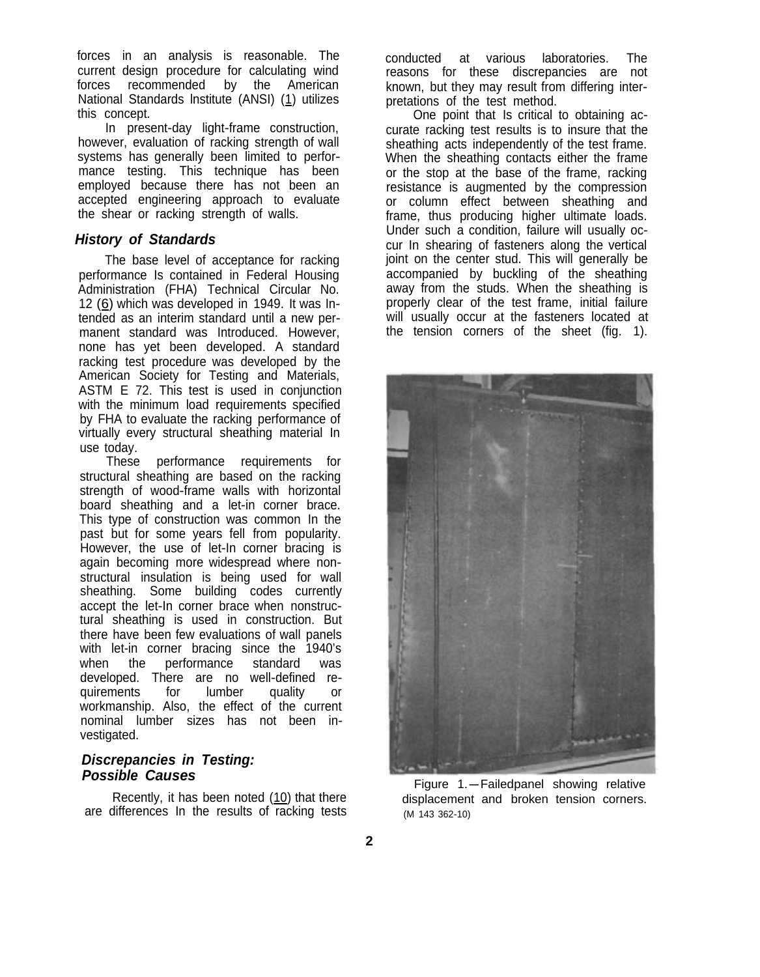forces in an analysis is reasonable. The current design procedure for calculating wind<br>forces recommended by the American forces recommended by the American National Standards Institute (ANSI) (1) utilizes this concept.

In present-day light-frame construction, however, evaluation of racking strength of wall systems has generally been limited to performance testing. This technique has been employed because there has not been an accepted engineering approach to evaluate the shear or racking strength of walls.

#### *History of Standards*

The base level of acceptance for racking performance Is contained in Federal Housing Administration (FHA) Technical Circular No. 12 (6) which was developed in 1949. It was Intended as an interim standard until a new permanent standard was Introduced. However, none has yet been developed. A standard racking test procedure was developed by the American Society for Testing and Materials, ASTM E 72. This test is used in conjunction with the minimum load requirements specified by FHA to evaluate the racking performance of virtually every structural sheathing material In use today.

These performance requirements for structural sheathing are based on the racking strength of wood-frame walls with horizontal board sheathing and a let-in corner brace. This type of construction was common In the past but for some years fell from popularity. However, the use of let-In corner bracing is again becoming more widespread where nonstructural insulation is being used for wall sheathing. Some building codes currently accept the let-In corner brace when nonstructural sheathing is used in construction. But there have been few evaluations of wall panels with let-in corner bracing since the 1940's when the performance standard was developed. There are no well-defined re-<br>quirements for lumber quality or quirements workmanship. Also, the effect of the current nominal lumber sizes has not been investigated.

### *Discrepancies in Testing: Possible Causes*

Recently, it has been noted (10) that there are differences In the results of racking tests conducted at various laboratories. The reasons for these discrepancies are not known, but they may result from differing interpretations of the test method.

One point that Is critical to obtaining accurate racking test results is to insure that the sheathing acts independently of the test frame. When the sheathing contacts either the frame or the stop at the base of the frame, racking resistance is augmented by the compression or column effect between sheathing and frame, thus producing higher ultimate loads. Under such a condition, failure will usually occur In shearing of fasteners along the vertical joint on the center stud. This will generally be accompanied by buckling of the sheathing away from the studs. When the sheathing is properly clear of the test frame, initial failure will usually occur at the fasteners located at the tension corners of the sheet (fig. 1).



Figure 1.-Failedpanel showing relative displacement and broken tension corners. (M 143 362-10)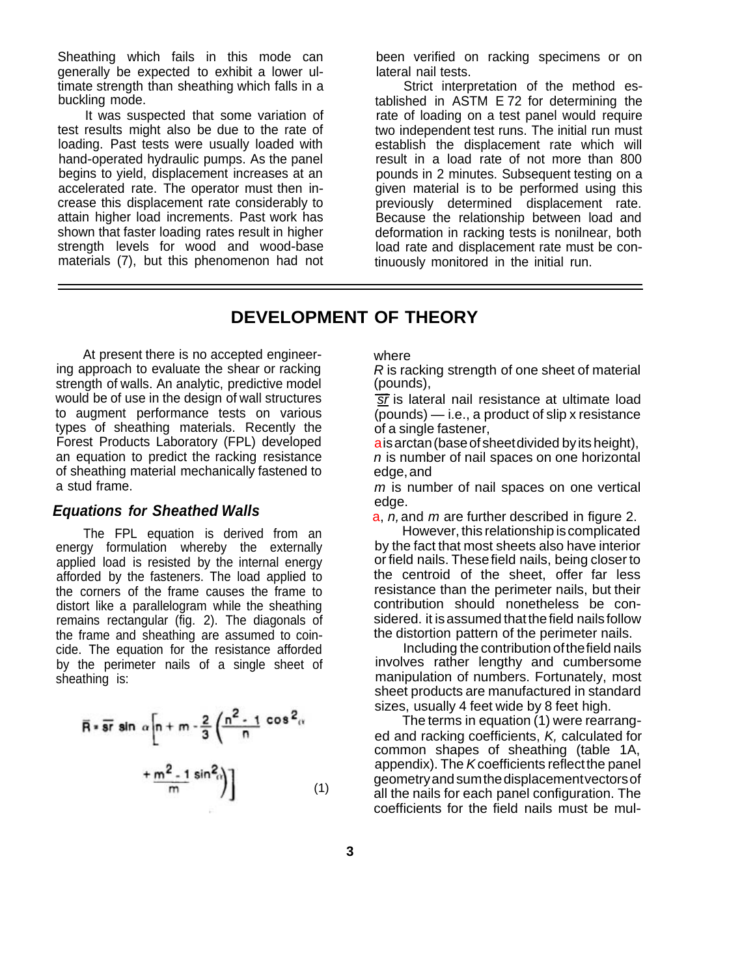Sheathing which fails in this mode can generally be expected to exhibit a lower ultimate strength than sheathing which falls in a buckling mode.

It was suspected that some variation of test results might also be due to the rate of loading. Past tests were usually loaded with hand-operated hydraulic pumps. As the panel begins to yield, displacement increases at an accelerated rate. The operator must then increase this displacement rate considerably to attain higher load increments. Past work has shown that faster loading rates result in higher strength levels for wood and wood-base materials (7), but this phenomenon had not been verified on racking specimens or on lateral nail tests.

Strict interpretation of the method established in ASTM E 72 for determining the rate of loading on a test panel would require two independent test runs. The initial run must establish the displacement rate which will result in a load rate of not more than 800 pounds in 2 minutes. Subsequent testing on a given material is to be performed using this previously determined displacement rate. Because the relationship between load and deformation in racking tests is nonilnear, both load rate and displacement rate must be continuously monitored in the initial run.

### **DEVELOPMENT OF THEORY**

At present there is no accepted engineering approach to evaluate the shear or racking strength of walls. An analytic, predictive model would be of use in the design of wall structures to augment performance tests on various types of sheathing materials. Recently the Forest Products Laboratory (FPL) developed an equation to predict the racking resistance of sheathing material mechanically fastened to a stud frame.

#### *Equations for Sheathed Walls*

The FPL equation is derived from an energy formulation whereby the externally applied load is resisted by the internal energy afforded by the fasteners. The load applied to the corners of the frame causes the frame to distort like a parallelogram while the sheathing remains rectangular (fig. 2). The diagonals of the frame and sheathing are assumed to coincide. The equation for the resistance afforded by the perimeter nails of a single sheet of sheathing is:

$$
\overline{R} = \overline{sr} \sin \alpha \left[ n + m - \frac{2}{3} \left( \frac{n^2 - 1}{n} \cos^2 \alpha \right) + \frac{m^2 - 1}{m} \sin^2 \alpha \right]
$$
\n(1)

where

*R* is racking strength of one sheet of material (pounds),

*sr* is lateral nail resistance at ultimate load (pounds) — i.e., a product of slip x resistance of a single fastener,

ais arctan (base of sheetdivided by its height), *n* is number of nail spaces on one horizontal edge, and

*m* is number of nail spaces on one vertical edge.

a, *n,* and *m* are further described in figure 2.

However, this relationship is complicated by the fact that most sheets also have interior or field nails. These field nails, being closer to the centroid of the sheet, offer far less resistance than the perimeter nails, but their contribution should nonetheless be considered. it is assumed that the field nails follow the distortion pattern of the perimeter nails.

Including the contribution of the field nails involves rather lengthy and cumbersome manipulation of numbers. Fortunately, most sheet products are manufactured in standard sizes, usually 4 feet wide by 8 feet high.

The terms in equation (1) were rearranged and racking coefficients, *K,* calculated for common shapes of sheathing (table 1A, appendix). The *K* coefficients reflect the panel geometry and sum the displacementvectors of all the nails for each panel configuration. The coefficients for the field nails must be mul-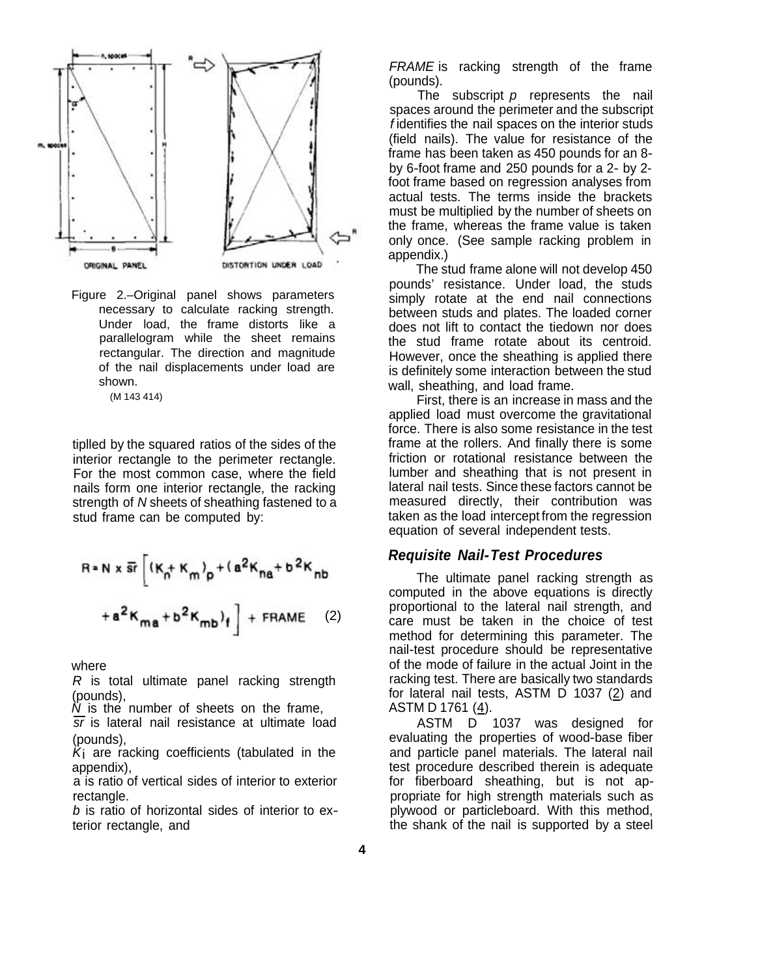

Figure 2.–Original panel shows parameters necessary to calculate racking strength. Under load, the frame distorts like a parallelogram while the sheet remains rectangular. The direction and magnitude of the nail displacements under load are shown.

(M 143 414)

tiplled by the squared ratios of the sides of the interior rectangle to the perimeter rectangle. For the most common case, where the field nails form one interior rectangle, the racking strength of *N* sheets of sheathing fastened to a stud frame can be computed by:

$$
R = N \times \overline{sr} \left[ (K_{n} + K_{m})_{p} + (a^{2}K_{na} + b^{2}K_{nb}) + a^{2}K_{ma} + b^{2}K_{mb} \right]
$$
  
+  $a^{2}K_{ma} + b^{2}K_{mb} + R_{mn} \tag{2}$ 

where

*R* is total ultimate panel racking strength (pounds),

*N* is the number of sheets on the frame,

*sr* is lateral nail resistance at ultimate load (pounds),

 $K_i$  are racking coefficients (tabulated in the appendix),

a is ratio of vertical sides of interior to exterior rectangle.

*b* is ratio of horizontal sides of interior to exterior rectangle, and

*FRAME* is racking strength of the frame (pounds).

The subscript *p* represents the nail spaces around the perimeter and the subscript *f* identifies the nail spaces on the interior studs (field nails). The value for resistance of the frame has been taken as 450 pounds for an 8 by 6-foot frame and 250 pounds for a 2- by 2 foot frame based on regression analyses from actual tests. The terms inside the brackets must be multiplied by the number of sheets on the frame, whereas the frame value is taken only once. (See sample racking problem in appendix.)

The stud frame alone will not develop 450 pounds' resistance. Under load, the studs simply rotate at the end nail connections between studs and plates. The loaded corner does not lift to contact the tiedown nor does the stud frame rotate about its centroid. However, once the sheathing is applied there is definitely some interaction between the stud wall, sheathing, and load frame.

First, there is an increase in mass and the applied load must overcome the gravitational force. There is also some resistance in the test frame at the rollers. And finally there is some friction or rotational resistance between the lumber and sheathing that is not present in lateral nail tests. Since these factors cannot be measured directly, their contribution was taken as the load intercept from the regression equation of several independent tests.

### *Requisite Nail-Test Procedures*

The ultimate panel racking strength as computed in the above equations is directly proportional to the lateral nail strength, and care must be taken in the choice of test method for determining this parameter. The nail-test procedure should be representative of the mode of failure in the actual Joint in the racking test. There are basically two standards for lateral nail tests, ASTM D 1037 (2) and ASTM D 1761 (4).

ASTM D 1037 was designed for evaluating the properties of wood-base fiber and particle panel materials. The lateral nail test procedure described therein is adequate for fiberboard sheathing, but is not appropriate for high strength materials such as plywood or particleboard. With this method, the shank of the nail is supported by a steel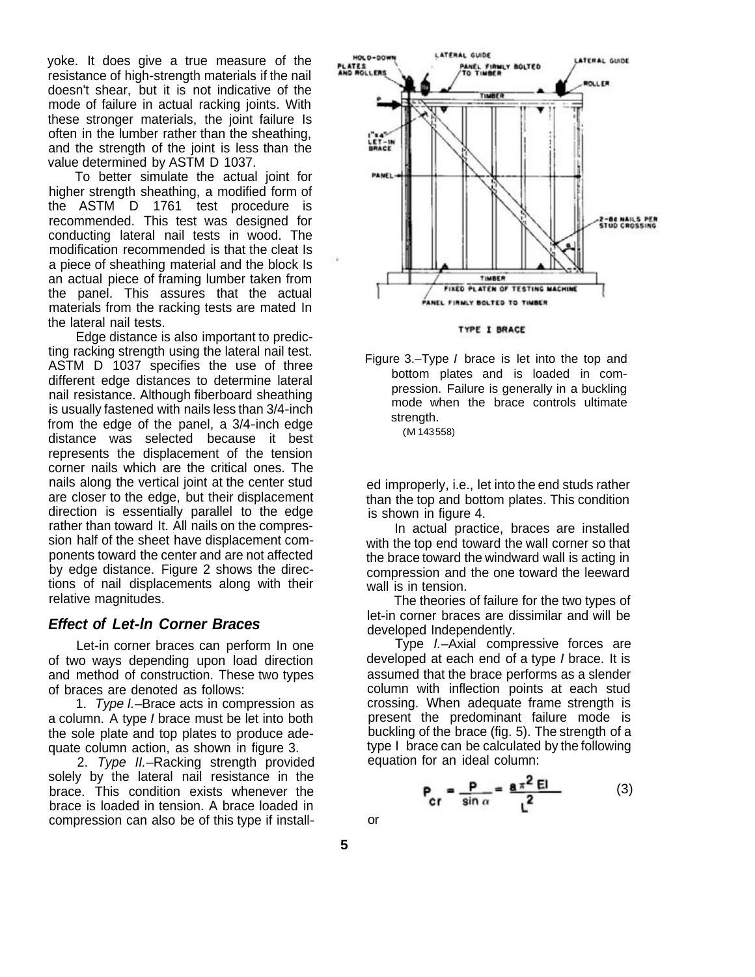yoke. It does give a true measure of the resistance of high-strength materials if the nail doesn't shear, but it is not indicative of the mode of failure in actual racking joints. With these stronger materials, the joint failure Is often in the lumber rather than the sheathing, and the strength of the joint is less than the value determined by ASTM D 1037.

To better simulate the actual joint for higher strength sheathing, a modified form of the ASTM D 1761 test procedure is recommended. This test was designed for conducting lateral nail tests in wood. The modification recommended is that the cleat Is a piece of sheathing material and the block Is an actual piece of framing lumber taken from the panel. This assures that the actual materials from the racking tests are mated In the lateral nail tests.

Edge distance is also important to predicting racking strength using the lateral nail test. ASTM D 1037 specifies the use of three different edge distances to determine lateral nail resistance. Although fiberboard sheathing is usually fastened with nails less than 3/4-inch from the edge of the panel, a 3/4-inch edge distance was selected because it best represents the displacement of the tension corner nails which are the critical ones. The nails along the vertical joint at the center stud are closer to the edge, but their displacement direction is essentially parallel to the edge rather than toward It. All nails on the compression half of the sheet have displacement components toward the center and are not affected by edge distance. Figure 2 shows the directions of nail displacements along with their relative magnitudes.

### *Effect of Let-ln Corner Braces*

Let-in corner braces can perform In one of two ways depending upon load direction and method of construction. These two types of braces are denoted as follows:

1. *Type I.*–Brace acts in compression as a column. A type *I* brace must be let into both the sole plate and top plates to produce adequate column action, as shown in figure 3.

2. *Type II.*–Racking strength provided solely by the lateral nail resistance in the brace. This condition exists whenever the brace is loaded in tension. A brace loaded in compression can also be of this type if install-







ed improperly, i.e., let into the end studs rather than the top and bottom plates. This condition is shown in figure 4.

In actual practice, braces are installed with the top end toward the wall corner so that the brace toward the windward wall is acting in compression and the one toward the leeward wall is in tension.

The theories of failure for the two types of let-in corner braces are dissimilar and will be developed Independently.

Type *I.*–Axial compressive forces are developed at each end of a type *I* brace. It is assumed that the brace performs as a slender column with inflection points at each stud crossing. When adequate frame strength is present the predominant failure mode is buckling of the brace (fig. 5). The strength of a type I brace can be calculated by the following equation for an ideal column:

$$
P_{cr} = \frac{P}{\sin \alpha} = \frac{a \pi^2 EI}{L^2}
$$
 (3)

**5** 

or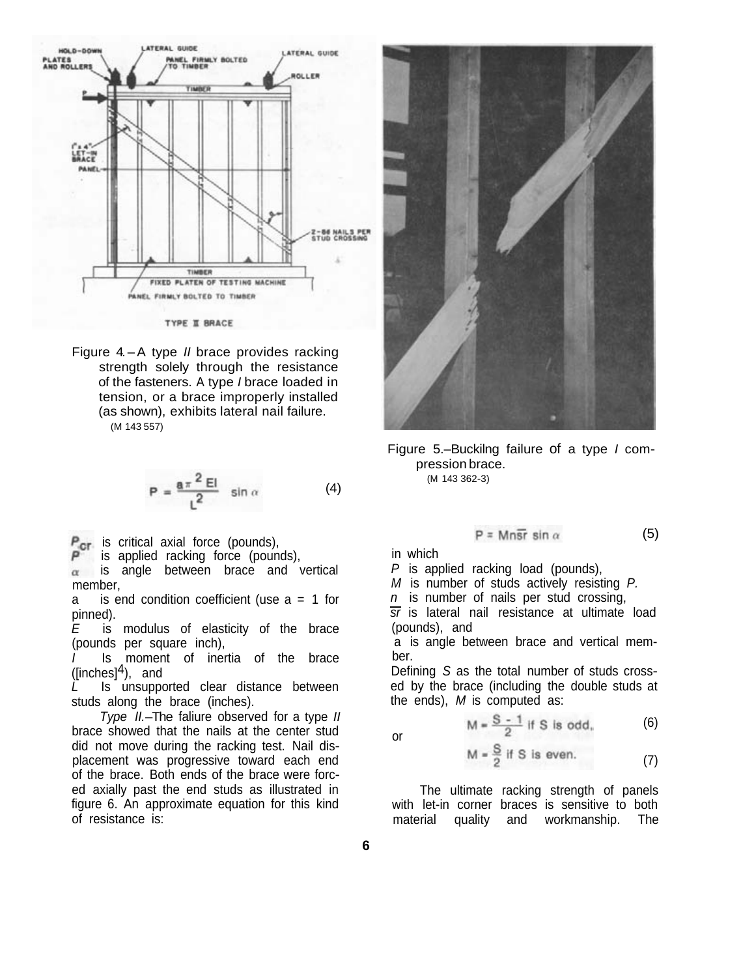

TYPE II BRACE

Figure 4. – A type *II* brace provides racking strength solely through the resistance of the fasteners. A type *I* brace loaded in tension, or a brace improperly installed (as shown), exhibits lateral nail failure. (M 143 557)

$$
P = \frac{a \pi^2 EI}{L^2} \sin \alpha \tag{4}
$$

 $P_{\text{cr}}$  is critical axial force (pounds),

is applied racking force (pounds),

is angle between brace and vertical  $\alpha$ member,

a is end condition coefficient (use  $a = 1$  for pinned).

*E* is modulus of elasticity of the brace (pounds per square inch),

*I* Is moment of inertia of the brace ( $[inches]$ <sup>4</sup>), and

Is unsupported clear distance between studs along the brace (inches).

*Type II.*–The faliure observed for a type *II*  brace showed that the nails at the center stud did not move during the racking test. Nail displacement was progressive toward each end of the brace. Both ends of the brace were forced axially past the end studs as illustrated in figure 6. An approximate equation for this kind of resistance is:



Figure 5.–Buckilng failure of a type *I* compression brace. (M 143 362-3)

$$
P = \text{Mn}\bar{\text{sr}} \sin \alpha \tag{5}
$$

in which

*P* is applied racking load (pounds),

*M* is number of studs actively resisting *P.* 

*n* is number of nails per stud crossing,

*sr* is lateral nail resistance at ultimate load (pounds), and

a is angle between brace and vertical member.

Defining *S* as the total number of studs crossed by the brace (including the double studs at the ends), *M* is computed as:

$$
\mathsf{or}\quad
$$

 $M = \frac{S - 1}{2}$  if S is odd, (6)

$$
M = \frac{S}{2}
$$
 if S is even. (7)

The ultimate racking strength of panels with let-in corner braces is sensitive to both material quality and workmanship. The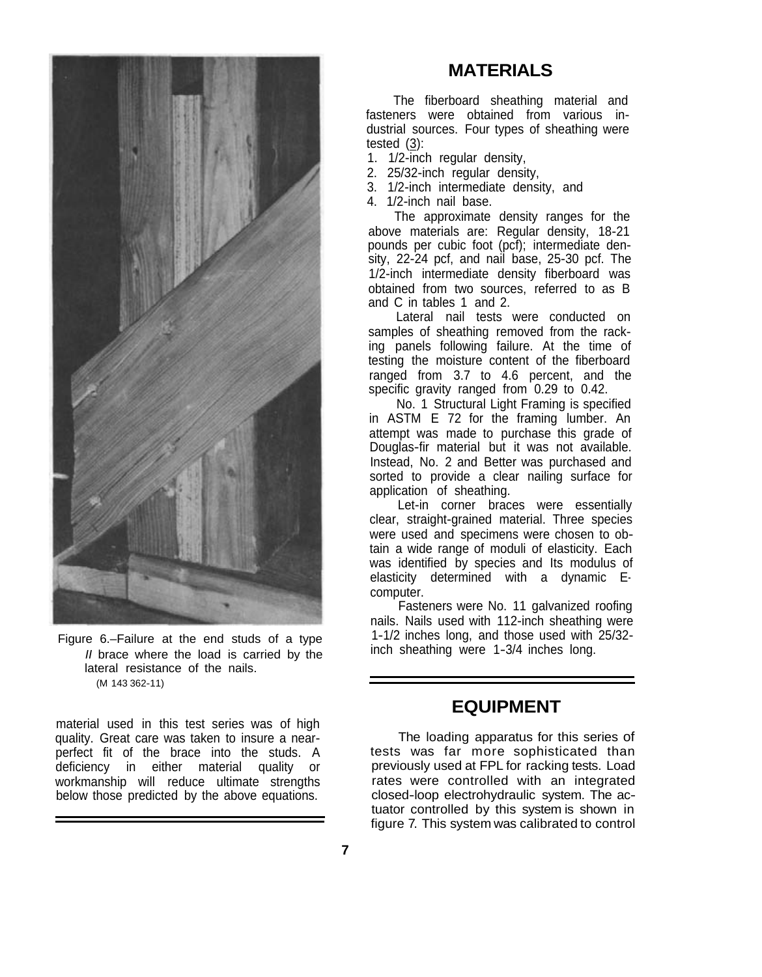

Figure 6.–Failure at the end studs of a type *II* brace where the load is carried by the lateral resistance of the nails. (M 143 362-11)

material used in this test series was of high quality. Great care was taken to insure a nearperfect fit of the brace into the studs. A deficiency in either material quality or workmanship will reduce ultimate strengths below those predicted by the above equations.

### **MATERIALS**

The fiberboard sheathing material and fasteners were obtained from various industrial sources. Four types of sheathing were tested (3):

- 1. 1/2-inch regular density,
- 2. 25/32-inch regular density,
- 3. 1/2-inch intermediate density, and
- 4. 1/2-inch nail base.

The approximate density ranges for the above materials are: Regular density, 18-21 pounds per cubic foot (pcf); intermediate density, 22-24 pcf, and nail base, 25-30 pcf. The 1/2-inch intermediate density fiberboard was obtained from two sources, referred to as B and C in tables 1 and 2.

Lateral nail tests were conducted on samples of sheathing removed from the racking panels following failure. At the time of testing the moisture content of the fiberboard ranged from 3.7 to 4.6 percent, and the specific gravity ranged from 0.29 to 0.42.

No. 1 Structural Light Framing is specified in ASTM E 72 for the framing lumber. An attempt was made to purchase this grade of Douglas-fir material but it was not available. Instead, No. 2 and Better was purchased and sorted to provide a clear nailing surface for application of sheathing.

Let-in corner braces were essentially clear, straight-grained material. Three species were used and specimens were chosen to obtain a wide range of moduli of elasticity. Each was identified by species and Its modulus of elasticity determined with a dynamic Ecomputer.

Fasteners were No. 11 galvanized roofing nails. Nails used with 112-inch sheathing were 1-1/2 inches long, and those used with 25/32 inch sheathing were 1-3/4 inches long.

### **EQUIPMENT**

The loading apparatus for this series of tests was far more sophisticated than previously used at FPL for racking tests. Load rates were controlled with an integrated closed-loop electrohydraulic system. The actuator controlled by this system is shown in figure 7. This system was calibrated to control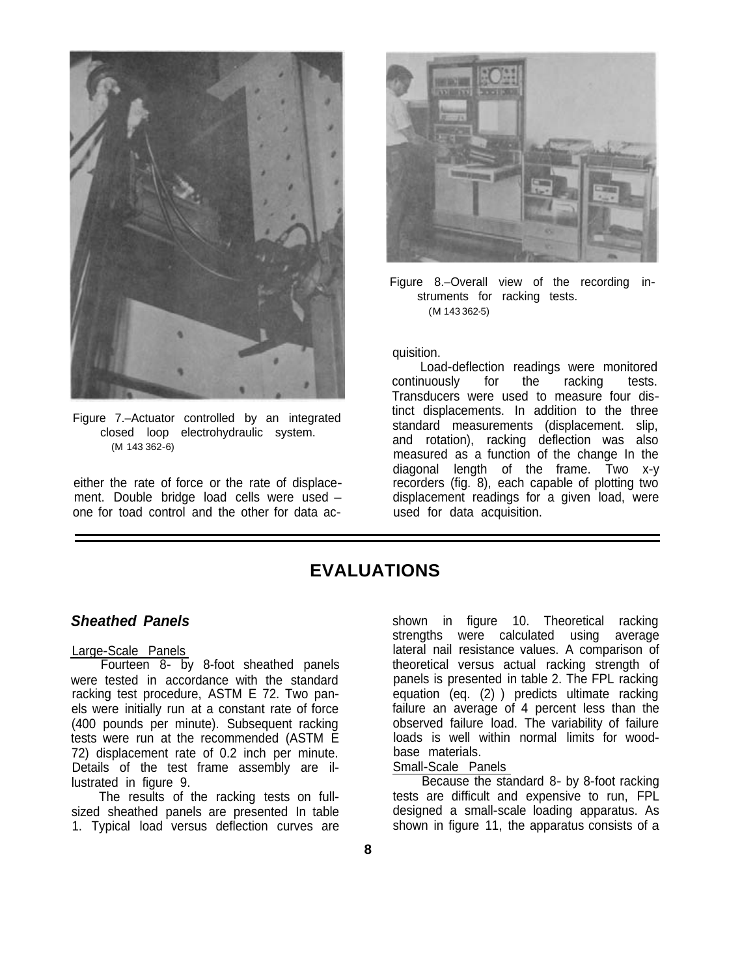

Figure 7.–Actuator controlled by an integrated closed loop electrohydraulic system. (M 143 362-6)

either the rate of force or the rate of displacement. Double bridge load cells were used – one for toad control and the other for data ac-



Figure 8.–Overall view of the recording instruments for racking tests. (M 143 362-5)

#### quisition.

Load-deflection readings were monitored<br>nuously for the racking tests. continuously for the racking tests. Transducers were used to measure four distinct displacements. In addition to the three standard measurements (displacement. slip, and rotation), racking deflection was also measured as a function of the change In the diagonal length of the frame. Two x-y recorders (fig. 8), each capable of plotting two displacement readings for a given load, were used for data acquisition.

## **EVALUATIONS**

### *Sheathed Panels*

#### Large-Scale Panels

Fourteen 8- by 8-foot sheathed panels were tested in accordance with the standard racking test procedure, ASTM E 72. Two panels were initially run at a constant rate of force (400 pounds per minute). Subsequent racking tests were run at the recommended (ASTM E 72) displacement rate of 0.2 inch per minute. Details of the test frame assembly are illustrated in figure 9.

The results of the racking tests on fullsized sheathed panels are presented In table 1. Typical load versus deflection curves are

shown in figure 10. Theoretical racking strengths were calculated using average lateral nail resistance values. A comparison of theoretical versus actual racking strength of panels is presented in table 2. The FPL racking equation (eq. (2) ) predicts ultimate racking failure an average of 4 percent less than the observed failure load. The variability of failure loads is well within normal limits for woodbase materials.

Small-Scale Panels

Because the standard 8- by 8-foot racking tests are difficult and expensive to run, FPL designed a small-scale loading apparatus. As shown in figure 11, the apparatus consists of a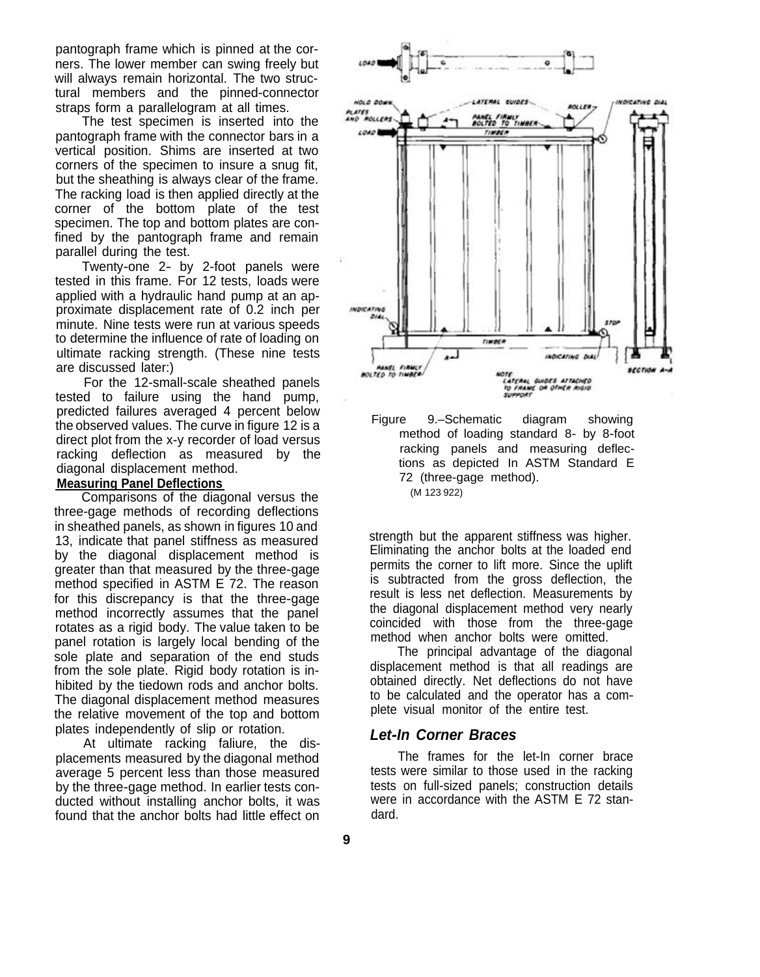pantograph frame which is pinned at the corners. The lower member can swing freely but will always remain horizontal. The two structural members and the pinned-connector straps form a parallelogram at all times.

The test specimen is inserted into the pantograph frame with the connector bars in a vertical position. Shims are inserted at two corners of the specimen to insure a snug fit, but the sheathing is always clear of the frame. The racking load is then applied directly at the corner of the bottom plate of the test specimen. The top and bottom plates are confined by the pantograph frame and remain parallel during the test.

Twenty-one 2- by 2-foot panels were tested in this frame. For 12 tests, loads were applied with a hydraulic hand pump at an approximate displacement rate of 0.2 inch per minute. Nine tests were run at various speeds to determine the influence of rate of loading on ultimate racking strength. (These nine tests are discussed later:)

For the 12-small-scale sheathed panels tested to failure using the hand pump, predicted failures averaged 4 percent below the observed values. The curve in figure 12 is a direct plot from the x-y recorder of load versus racking deflection as measured by the diagonal displacement method.

#### **Measuring Panel Deflections**

Comparisons of the diagonal versus the three-gage methods of recording deflections in sheathed panels, as shown in figures 10 and 13, indicate that panel stiffness as measured by the diagonal displacement method is greater than that measured by the three-gage method specified in ASTM E 72. The reason for this discrepancy is that the three-gage method incorrectly assumes that the panel rotates as a rigid body. The value taken to be panel rotation is largely local bending of the sole plate and separation of the end studs from the sole plate. Rigid body rotation is inhibited by the tiedown rods and anchor bolts. The diagonal displacement method measures the relative movement of the top and bottom plates independently of slip or rotation.

At ultimate racking faliure, the displacements measured by the diagonal method average 5 percent less than those measured by the three-gage method. In earlier tests conducted without installing anchor bolts, it was found that the anchor bolts had little effect on





strength but the apparent stiffness was higher. Eliminating the anchor bolts at the loaded end permits the corner to lift more. Since the uplift is subtracted from the gross deflection, the result is less net deflection. Measurements by the diagonal displacement method very nearly coincided with those from the three-gage method when anchor bolts were omitted.

The principal advantage of the diagonal displacement method is that all readings are obtained directly. Net deflections do not have to be calculated and the operator has a complete visual monitor of the entire test.

#### *Let-In Corner Braces*

The frames for the let-In corner brace tests were similar to those used in the racking tests on full-sized panels; construction details were in accordance with the ASTM E 72 standard.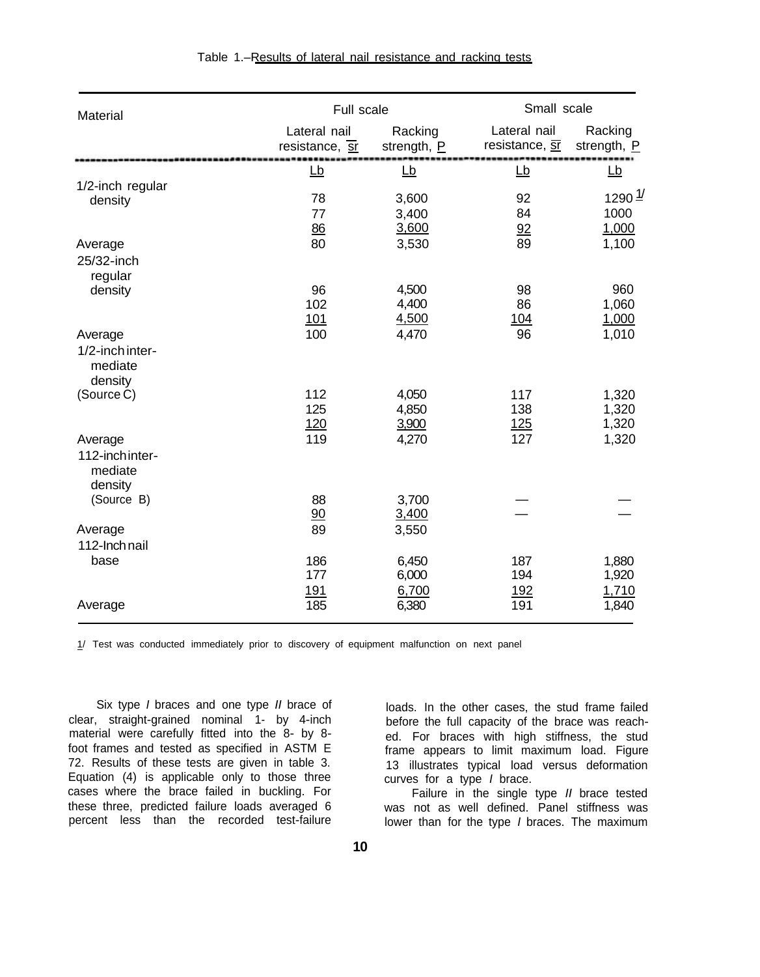| Material                                         | <b>Full scale</b>                                  |                         |                                | Small scale                         |  |  |
|--------------------------------------------------|----------------------------------------------------|-------------------------|--------------------------------|-------------------------------------|--|--|
|                                                  | Lateral nail<br>resistance, $\overline{\text{sr}}$ | Racking<br>strength, P  | Lateral nail<br>resistance, ST | Racking<br>strength, P              |  |  |
|                                                  | Lb                                                 | Lb                      | <u>Lb</u>                      | <u>Lb</u>                           |  |  |
| 1/2-inch regular<br>density                      | 78<br>77<br>86                                     | 3,600<br>3,400<br>3,600 | 92<br>84<br>92                 | 1290 $\frac{1}{2}$<br>1000<br>1,000 |  |  |
| Average<br>25/32-inch<br>regular                 | 80                                                 | 3,530                   | 89                             | 1,100                               |  |  |
| density                                          | 96<br>102<br><u>101</u>                            | 4,500<br>4,400<br>4,500 | 98<br>86<br><u>104</u>         | 960<br>1,060<br>1,000               |  |  |
| Average<br>1/2-inch inter-<br>mediate<br>density | 100                                                | 4,470                   | 96                             | 1,010                               |  |  |
| (Source C)                                       | 112<br>125<br>120                                  | 4,050<br>4,850<br>3,900 | 117<br>138<br>125              | 1,320<br>1,320<br>1,320             |  |  |
| Average<br>112-inchinter-<br>mediate<br>density  | 119                                                | 4,270                   | 127                            | 1,320                               |  |  |
| (Source B)<br>Average                            | 88<br>90<br>89                                     | 3,700<br>3,400<br>3,550 |                                |                                     |  |  |
| 112-Inch nail<br>base                            | 186                                                | 6,450                   | 187                            | 1,880                               |  |  |
|                                                  | 177<br>191                                         | 6,000<br>6,700          | 194<br><u>192</u>              | 1,920<br>1,710                      |  |  |
| Average                                          | 185                                                | 6,380                   | 191                            | 1,840                               |  |  |

1/ Test was conducted immediately prior to discovery of equipment malfunction on next panel

Six type *I* braces and one type *II* brace of loads. In the other cases, the stud frame failed clear, straight-grained nominal 1- by 4-inch before the full capacity of the brace was reachmaterial were carefully fitted into the 8- by 8-<br>foot frames and tested as specified in ASTM E<br>frame appears to limit maximum load. Figure foot frames and tested as specified in ASTM E frame appears to limit maximum load. Figure<br>72. Results of these tests are given in table 3. The same substrates typical load versus deformation Equation (4) is applicable only to those three curves for a type *I* brace. cases where the brace failed in buckling. For these three, predicted failure loads averaged 6 these three, predicted failure loads averaged 6 was not as well defined. Panel stiffness was percent less than the recorded test-failure

13 illustrates typical load versus deformation curves for a type  $I$  brace.

lower than for the type *I* braces. The maximum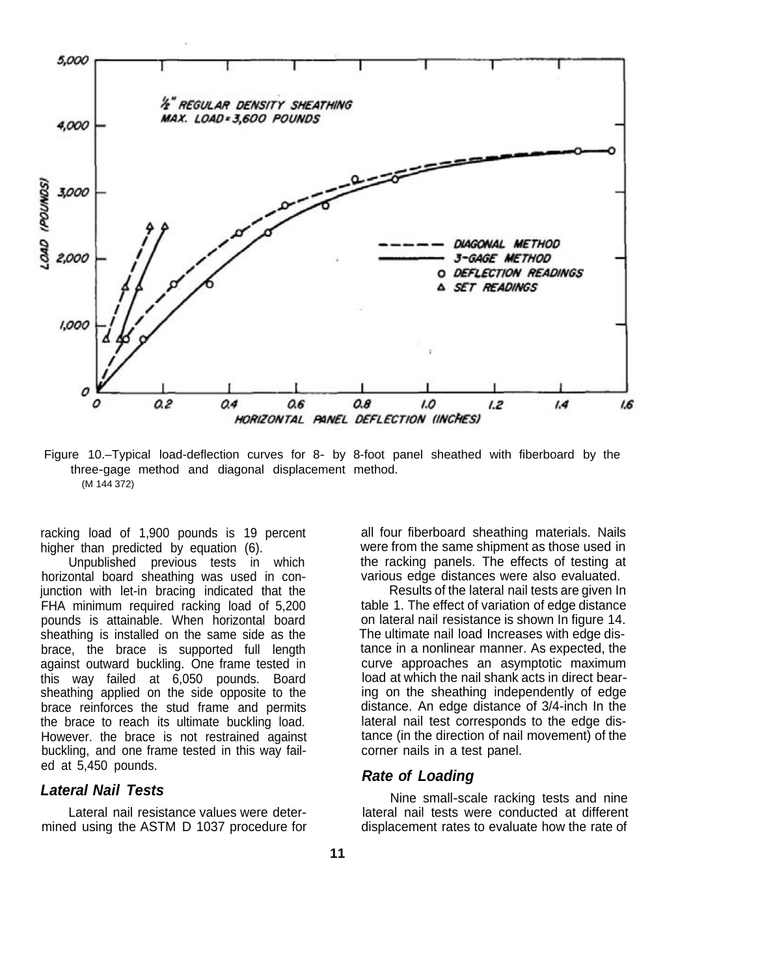

Figure 10.–Typical load-deflection curves for 8- by 8-foot panel sheathed with fiberboard by the three-gage method and diagonal displacement method. (M 144 372)

racking load of 1,900 pounds is 19 percent higher than predicted by equation (6).

Unpublished previous tests in which horizontal board sheathing was used in conjunction with let-in bracing indicated that the FHA minimum required racking load of 5,200 pounds is attainable. When horizontal board sheathing is installed on the same side as the brace, the brace is supported full length against outward buckling. One frame tested in this way failed at 6,050 pounds. Board sheathing applied on the side opposite to the brace reinforces the stud frame and permits the brace to reach its ultimate buckling load. However. the brace is not restrained against buckling, and one frame tested in this way failed at 5,450 pounds.

### *Lateral Nail Tests*

Lateral nail resistance values were determined using the ASTM D 1037 procedure for all four fiberboard sheathing materials. Nails were from the same shipment as those used in the racking panels. The effects of testing at various edge distances were also evaluated.

Results of the lateral nail tests are given In table 1. The effect of variation of edge distance on lateral nail resistance is shown In figure 14. The ultimate nail load Increases with edge distance in a nonlinear manner. As expected, the curve approaches an asymptotic maximum load at which the nail shank acts in direct bearing on the sheathing independently of edge distance. An edge distance of 3/4-inch In the lateral nail test corresponds to the edge distance (in the direction of nail movement) of the corner nails in a test panel.

### *Rate of Loading*

Nine small-scale racking tests and nine lateral nail tests were conducted at different displacement rates to evaluate how the rate of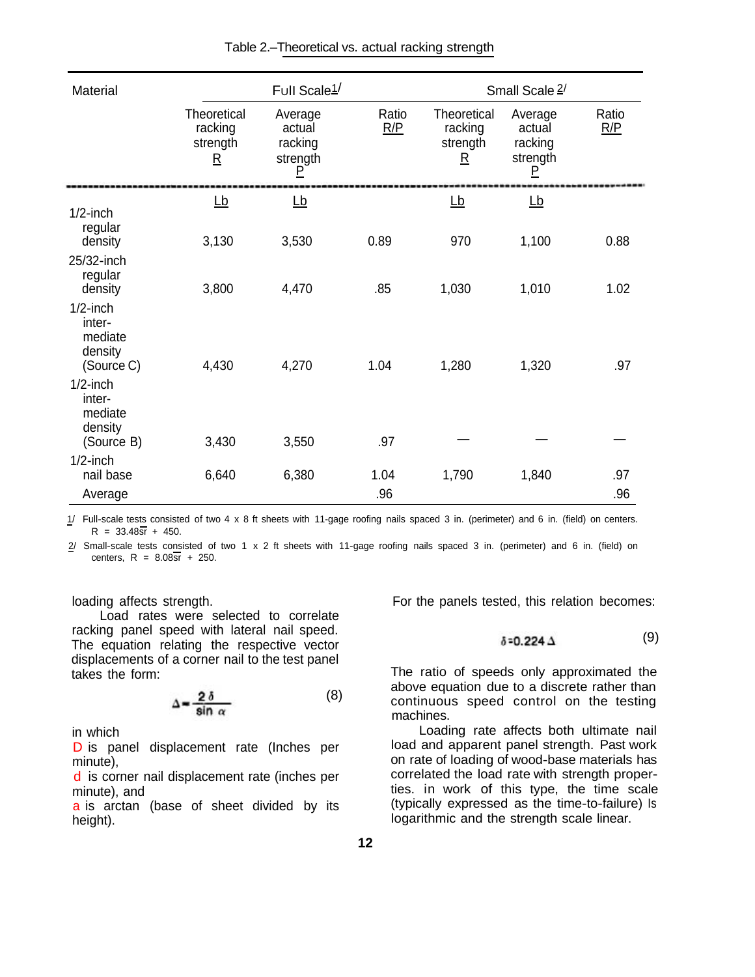| Material                                                  |                                                                | Full Scale <sup>1/</sup>                      |              |                                                               | Small Scale 2/                                |              |
|-----------------------------------------------------------|----------------------------------------------------------------|-----------------------------------------------|--------------|---------------------------------------------------------------|-----------------------------------------------|--------------|
|                                                           | Theoretical<br>racking<br>strength<br>$\underline{\mathsf{R}}$ | Average<br>actual<br>racking<br>strength<br>Р | Ratio<br>R/P | Theoretical<br>racking<br>strength<br>$\overline{\mathsf{R}}$ | Average<br>actual<br>racking<br>strength<br>P | Ratio<br>R/P |
| $1/2$ -inch                                               | $\underline{\mathsf{Lb}}$                                      | <u>Lb</u>                                     |              | $\underline{\mathsf{Lb}}$                                     | $\underline{\mathsf{Lb}}$                     |              |
| regular<br>density                                        | 3,130                                                          | 3,530                                         | 0.89         | 970                                                           | 1,100                                         | 0.88         |
| 25/32-inch<br>regular<br>density                          | 3,800                                                          | 4,470                                         | .85          | 1,030                                                         | 1,010                                         | 1.02         |
| $1/2$ -inch<br>inter-<br>mediate<br>density<br>(Source C) | 4,430                                                          | 4,270                                         | 1.04         | 1,280                                                         | 1,320                                         | .97          |
| $1/2$ -inch<br>inter-<br>mediate<br>density               |                                                                |                                               |              |                                                               |                                               |              |
| (Source B)                                                | 3,430                                                          | 3,550                                         | .97          |                                                               |                                               |              |
| $1/2$ -inch<br>nail base                                  | 6,640                                                          | 6,380                                         | 1.04         | 1,790                                                         | 1,840                                         | .97          |
| Average                                                   |                                                                |                                               | .96          |                                                               |                                               | .96          |

1/ Full-scale tests consisted of two 4 x 8 ft sheets with 11-gage roofing nails spaced 3 in. (perimeter) and 6 in. (field) on centers.  $R = 33.48\overline{s} + 450.$ 

2/ Small-scale tests consisted of two 1 x 2 ft sheets with 11-gage roofing nails spaced 3 in. (perimeter) and 6 in. (field) on centers,  $R = 8.08\overline{s}$  + 250.

loading affects strength.

Load rates were selected to correlate racking panel speed with lateral nail speed. The equation relating the respective vector displacements of a corner nail to the test panel takes the form:

$$
\Delta = \frac{2 \delta}{\sin \alpha} \tag{8}
$$

in which

D is panel displacement rate (Inches per minute),

d is corner nail displacement rate (inches per minute), and

a is arctan (base of sheet divided by its height).

For the panels tested, this relation becomes:

$$
\delta = 0.224 \Delta \tag{9}
$$

The ratio of speeds only approximated the above equation due to a discrete rather than continuous speed control on the testing machines.

Loading rate affects both ultimate nail load and apparent panel strength. Past work on rate of loading of wood-base materials has correlated the load rate with strength properties. in work of this type, the time scale (typically expressed as the time-to-failure) Is logarithmic and the strength scale linear.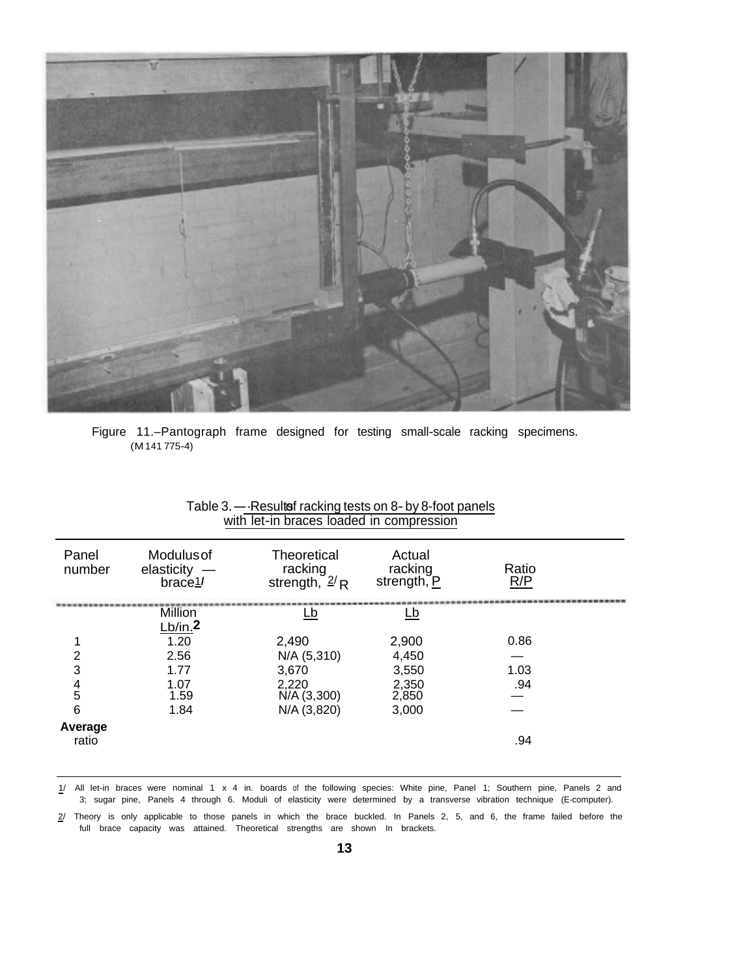

Figure 11.–Pantograph frame designed for testing small-scale racking specimens. (M 141 775-4)

| Panel<br>number  | <b>Modulus of</b><br>elasticity $-$<br>brace1 | Theoretical<br>racking<br>strength, $2/R$ | Actual<br>racking<br>strength, P | Ratio<br>R/P |  |
|------------------|-----------------------------------------------|-------------------------------------------|----------------------------------|--------------|--|
|                  | <b>Million</b><br>Lb/in.2                     | <u>Lb</u>                                 | <u>Lb</u>                        |              |  |
|                  | 1.20                                          | 2,490                                     | 2,900                            | 0.86         |  |
| 2                | 2.56                                          | N/A (5,310)                               | 4,450                            |              |  |
| 3                | 1.77                                          | 3,670                                     | 3,550                            | 1.03         |  |
| $\frac{4}{5}$    | 1.07<br>1.59                                  | 2,220<br>N/A (3,300)                      | 2,350<br>2,850                   | .94          |  |
| 6                | 1.84                                          | N/A (3,820)                               | 3,000                            |              |  |
| Average<br>ratio |                                               |                                           |                                  | .94          |  |

#### Table 3.---Resulte fracking tests on 8- by 8-foot panels with let-in braces loaded in compression

1/ All let-in braces were nominal 1 x 4 in. boards of the following species: White pine, Panel 1; Southern pine, Panels 2 and 3; sugar pine, Panels 4 through 6. Moduli of elasticity were determined by a transverse vibration technique (E-computer).

 $2/$  Theory is only applicable to those panels in which the brace buckled. In Panels 2, 5, and 6, the frame failed before the full brace capacity was attained. Theoretical strengths are shown In brackets.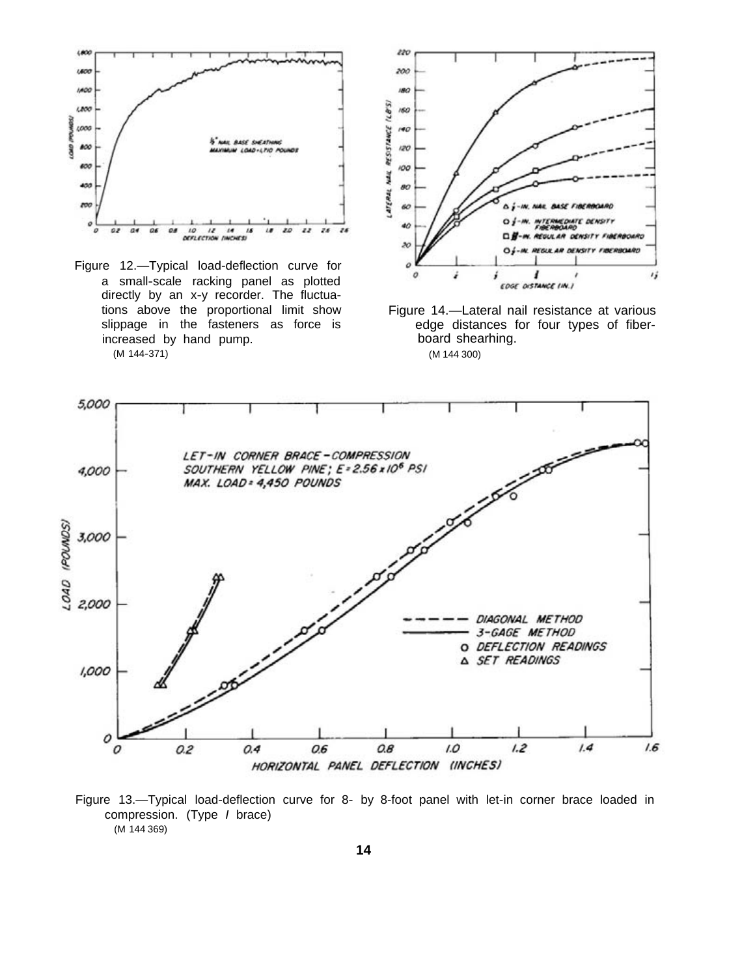

Figure 12.—Typical load-deflection curve for a small-scale racking panel as plotted directly by an x-y recorder. The fluctuaincreased by hand pump. (M 144-371) (M 144 300)



tions above the proportional limit show Figure 14.—Lateral nail resistance at various<br>slippage in the fasteners as force is edge distances for four types of fiberedge distances for four types of fiber-<br>board shearhing.



Figure 13.—Typical load-deflection curve for 8- by 8-foot panel with let-in corner brace loaded in compression. (Type *I* brace) (M 144 369)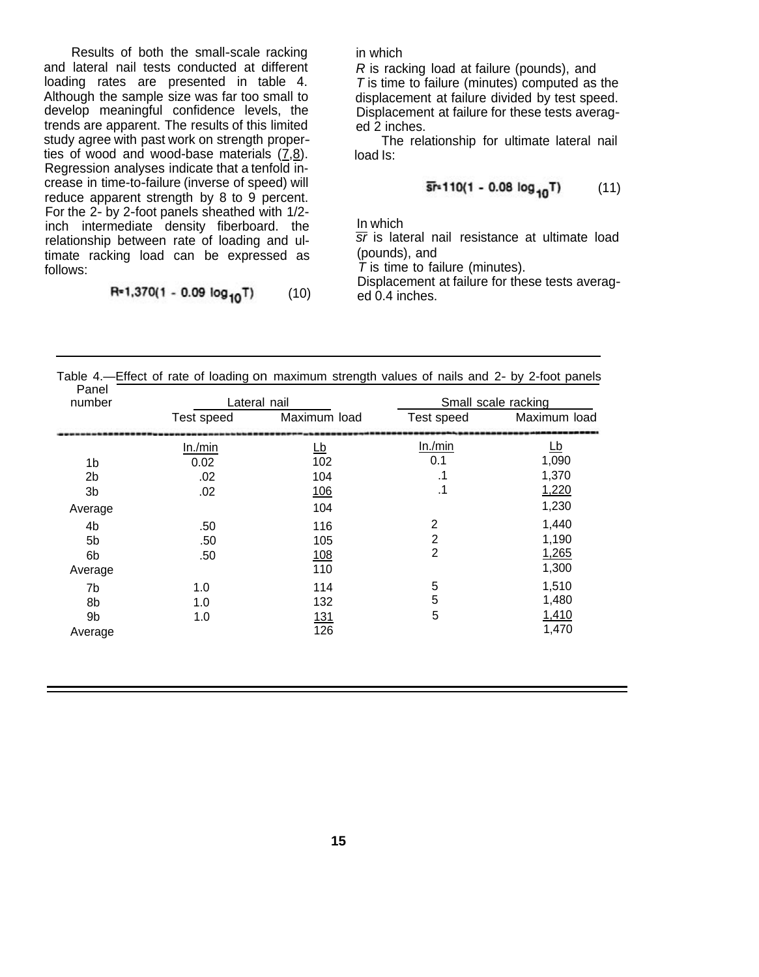Results of both the small-scale racking and lateral nail tests conducted at different loading rates are presented in table 4. Although the sample size was far too small to develop meaningful confidence levels, the trends are apparent. The results of this limited study agree with past work on strength properties of wood and wood-base materials (7,8). Regression analyses indicate that a tenfold increase in time-to-failure (inverse of speed) will reduce apparent strength by 8 to 9 percent. For the 2- by 2-foot panels sheathed with 1/2 inch intermediate density fiberboard. the relationship between rate of loading and ultimate racking load can be expressed as follows:

$$
R=1,370(1 - 0.09 \log_{10} T) \tag{10}
$$

in which

*R* is racking load at failure (pounds), and *T* is time to failure (minutes) computed as the displacement at failure divided by test speed. Displacement at failure for these tests averaged 2 inches.

The relationship for ultimate lateral nail load Is:

$$
\overline{\text{sr}} \cdot 110(1 - 0.08 \log_{10} T) \tag{11}
$$

In which

*sr* is lateral nail resistance at ultimate load (pounds), and

*T* is time to failure (minutes).

Displacement at failure for these tests averaged 0.4 inches.

| Table 4.—Effect of rate of loading on maximum strength values of halls and 2- by 2-loot panels |            |                   |                     |                |  |  |  |  |  |
|------------------------------------------------------------------------------------------------|------------|-------------------|---------------------|----------------|--|--|--|--|--|
| Panel<br>number                                                                                |            | Lateral nail      | Small scale racking |                |  |  |  |  |  |
|                                                                                                | Test speed | Maximum load      | Test speed          | Maximum load   |  |  |  |  |  |
|                                                                                                | In./min    | <u>Lb</u>         | In./min             | <u>Lb</u>      |  |  |  |  |  |
| 1b                                                                                             | 0.02       | 102               | 0.1                 | 1,090          |  |  |  |  |  |
| 2b                                                                                             | .02        | 104               | .1                  | 1,370          |  |  |  |  |  |
| 3b                                                                                             | .02        | <u>106</u>        | .1                  | 1,220          |  |  |  |  |  |
| Average                                                                                        |            | 104               |                     | 1,230          |  |  |  |  |  |
| 4b                                                                                             | .50        | 116               | 2                   | 1,440          |  |  |  |  |  |
| 5b                                                                                             | .50        | 105               | $\overline{2}$      | 1,190          |  |  |  |  |  |
| 6b                                                                                             | .50        | <u>108</u><br>110 | $\overline{2}$      | 1,265<br>1,300 |  |  |  |  |  |
| Average                                                                                        |            |                   |                     |                |  |  |  |  |  |
| 7b                                                                                             | 1.0        | 114               | 5                   | 1,510          |  |  |  |  |  |
| 8b                                                                                             | 1.0        | 132               | 5                   | 1,480          |  |  |  |  |  |
| 9b                                                                                             | 1.0        | <u>131</u>        | $\sqrt{5}$          | 1,410          |  |  |  |  |  |
| Average                                                                                        |            | 126               |                     | 1,470          |  |  |  |  |  |

Table 4.—Effect of rate of loading on maximum strength values of nails and 2- by 2-foot panels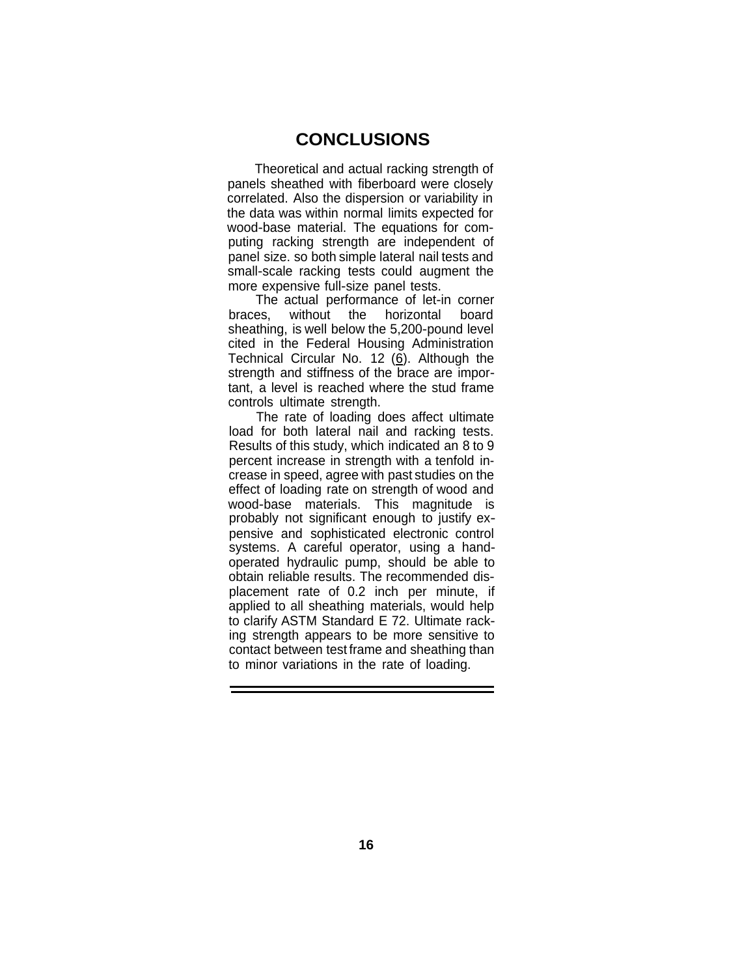### **CONCLUSIONS**

Theoretical and actual racking strength of panels sheathed with fiberboard were closely correlated. Also the dispersion or variability in the data was within normal limits expected for wood-base material. The equations for computing racking strength are independent of panel size. so both simple lateral nail tests and small-scale racking tests could augment the more expensive full-size panel tests.

The actual performance of let-in corner<br>es without the horizontal board braces, without the horizontal sheathing, is well below the 5,200-pound level cited in the Federal Housing Administration Technical Circular No. 12  $(6)$ . Although the strength and stiffness of the brace are important, a level is reached where the stud frame controls ultimate strength.

The rate of loading does affect ultimate load for both lateral nail and racking tests. Results of this study, which indicated an 8 to 9 percent increase in strength with a tenfold increase in speed, agree with past studies on the effect of loading rate on strength of wood and wood-base materials. This magnitude is probably not significant enough to justify expensive and sophisticated electronic control systems. A careful operator, using a handoperated hydraulic pump, should be able to obtain reliable results. The recommended displacement rate of 0.2 inch per minute, if applied to all sheathing materials, would help to clarify ASTM Standard E 72. Ultimate racking strength appears to be more sensitive to contact between test frame and sheathing than to minor variations in the rate of loading.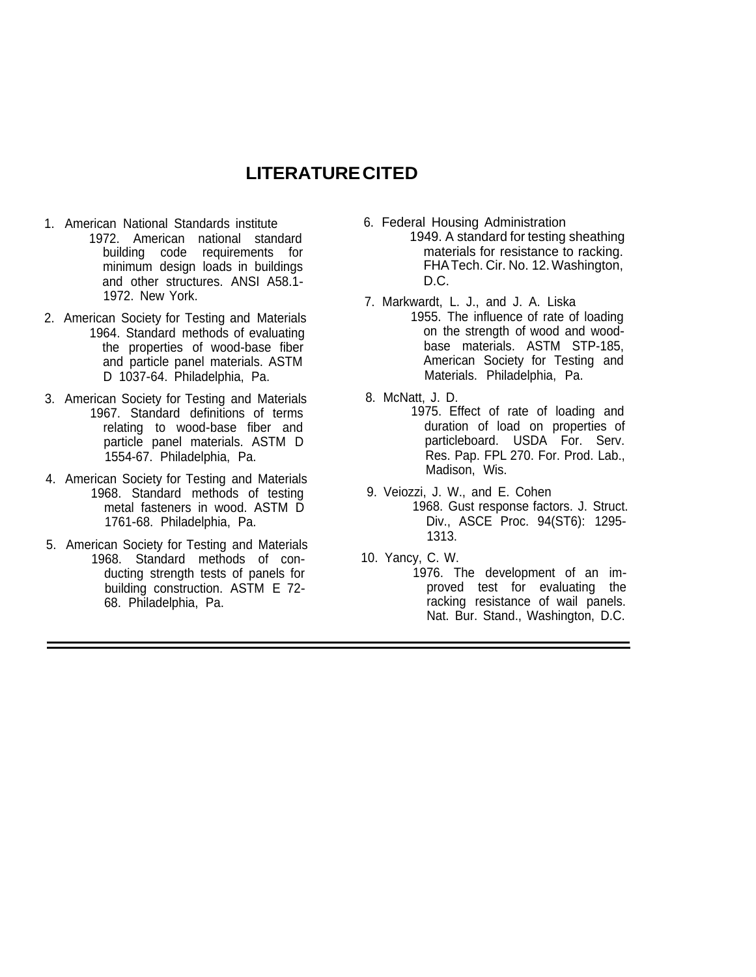## **LITERATURE CITED**

- 1. American National Standards institute 1972. American national standard building code requirements for minimum design loads in buildings and other structures. ANSI A58.1 1972. New York.
- 2. American Society for Testing and Materials 1964. Standard methods of evaluating the properties of wood-base fiber and particle panel materials. ASTM D 1037-64. Philadelphia, Pa.
- 3. American Society for Testing and Materials 1967. Standard definitions of terms relating to wood-base fiber and particle panel materials. ASTM D 1554-67. Philadelphia, Pa.
- 4. American Society for Testing and Materials 1968. Standard methods of testing metal fasteners in wood. ASTM D 1761-68. Philadelphia, Pa.
- 5. American Society for Testing and Materials 1968. Standard methods of conducting strength tests of panels for building construction. ASTM E 72 68. Philadelphia, Pa.
- 6. Federal Housing Administration 1949. A standard for testing sheathing materials for resistance to racking. FHA Tech. Cir. No. 12. Washington, D.C.
- 7. Markwardt, L. J., and J. A. Liska 1955. The influence of rate of loading on the strength of wood and woodbase materials. ASTM STP-185, American Society for Testing and Materials. Philadelphia, Pa.
- 8. McNatt, J. D.
	- 1975. Effect of rate of loading and duration of load on properties of particleboard. USDA For. Serv. Res. Pap. FPL 270. For. Prod. Lab., Madison, Wis.
- 9. Veiozzi, J. W., and E. Cohen 1968. Gust response factors. J. Struct. Div., ASCE Proc. 94(ST6): 1295 1313.
- 10. Yancy, C. W.
	- 1976. The development of an improved test for evaluating the racking resistance of wail panels. Nat. Bur. Stand., Washington, D.C.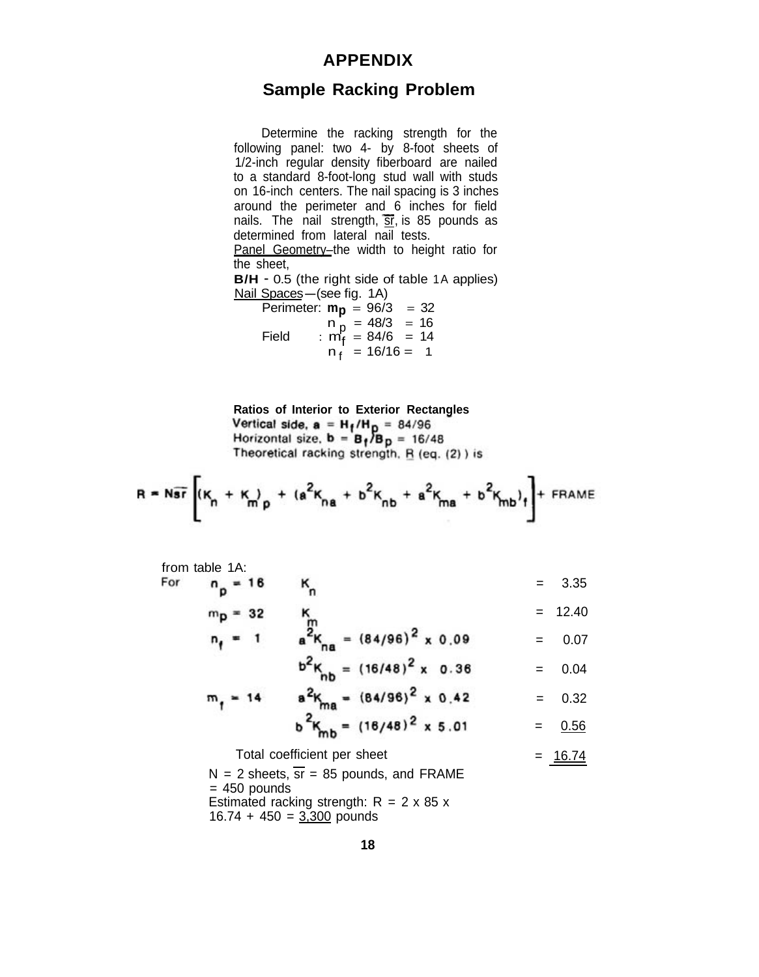#### **APPENDIX**

### **Sample Racking Problem**

Determine the racking strength for the following panel: two 4- by 8-foot sheets of 1/2-inch regular density fiberboard are nailed to a standard 8-foot-long stud wall with studs on 16-inch centers. The nail spacing is 3 inches around the perimeter and 6 inches for field nails. The nail strength,  $\overline{sr}$ , is 85 pounds as determined from lateral nail tests. Panel Geometry–the width to height ratio for

the sheet,

**B/H** - 0.5 (the right side of table 1A applies)<br>
<u>Nail Spaces</u> — (see fig. 1A)<br>
Perimeter: **m**<sub>n</sub> 06/3 32

Perimeter:  $m_p = 96/3 = 32$  $n_p = 48/3 = 16$ Field :  $m_f^2 = 84/6 = 14$  $n_f$  = 16/16 = 1

**Ratios of Interior to Exterior Rectangles<br>Vertical side, a = H<sub>1</sub>/H<sub>D</sub> = 84/96<br>Horizontal size, b = B<sub>1</sub>/B<sub>D</sub> = 16/48** Theoretical racking strength, R (eq. (2)) is

$$
R = N \overline{sr} \left[ (K_n + K_m)_{p} + (a^2 K_{na} + b^2 K_{nb} + a^2 K_{ma} + b^2 K_{mb})_{f} \right] + FRAME
$$

from table 1A:  
For 
$$
n_p = 18
$$
 K<sub>n</sub> = 3.35

$$
m_{\mathbf{p}} = 32 \qquad m_{\mathbf{m}} = 12.40
$$
  

$$
n_{\mathbf{p}} = 1 \qquad a^2 K_{\mathbf{m}} = (84/96)^2 \times 0.09 = 0.07
$$

$$
b^2 K_{nb} = (16/48)^2 \times 0.36 = 0.04
$$

$$
m_f = 14
$$
  $a^2 K_{ma} = (84/96)^2 \times 0.42 = 0.32$ 

$$
b - K_{mb} = (16/48)^2 \times 5.01 = 0.56
$$

# Total coefficient per sheet = 16.74

 $N = 2$  sheets,  $\overline{sr} = 85$  pounds, and FRAME  $= 450$  pounds Estimated racking strength:  $R = 2 \times 85 \times 10^{-10}$  $16.74 + 450 = 3,300$  pounds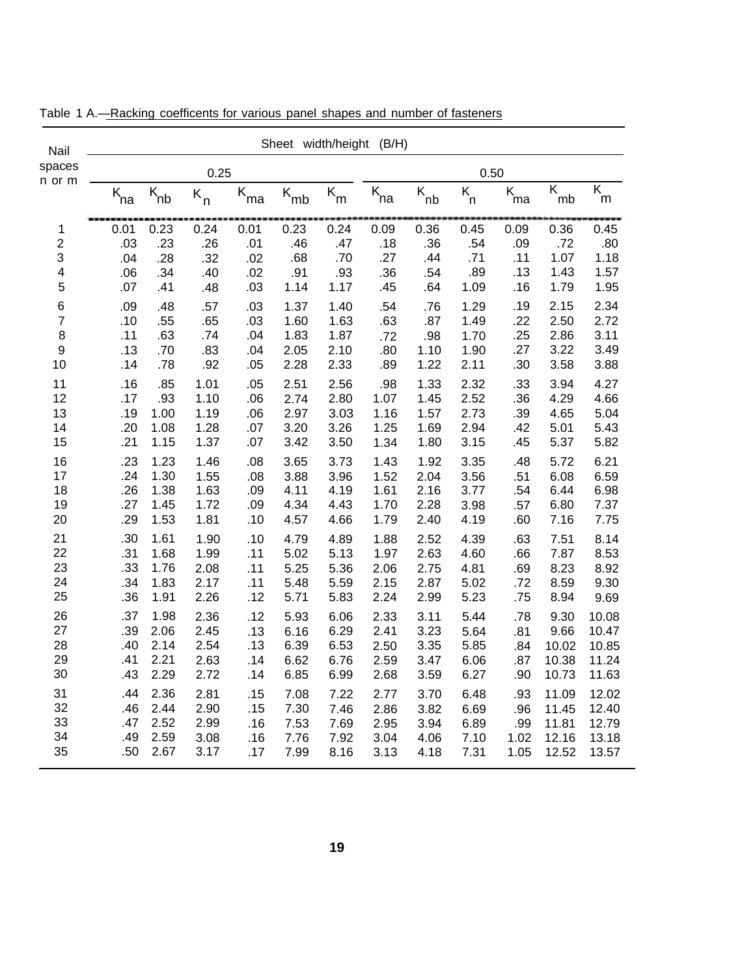| Nail                    |            | Sheet width/height<br>(B/H)           |              |            |                          |                         |                     |                     |              |                     |                               |                              |
|-------------------------|------------|---------------------------------------|--------------|------------|--------------------------|-------------------------|---------------------|---------------------|--------------|---------------------|-------------------------------|------------------------------|
| spaces                  | 0.25       |                                       |              |            | 0.50                     |                         |                     |                     |              |                     |                               |                              |
| n or m                  | $K_{na}$   | $\overline{\mathsf{K}}_{\mathsf{nb}}$ | $K_n$        | $k_{ma}$   | $\overline{\kappa}_{mb}$ | $\overline{\kappa}_{m}$ | $\overline{K}_{na}$ | $\overline{K}_{nb}$ | $K_{n}$      | $\overline{K}_{ma}$ | $\overline{\mathsf{K}}$<br>mb | $\overline{\mathsf{K}}$<br>m |
| 1                       | 0.01       | 0.23                                  | 0.24         | 0.01       | 0.23                     | 0.24                    | 0.09                | 0.36                | 0.45         | 0.09                | 0.36                          | 0.45                         |
| $\overline{\mathbf{c}}$ | .03        | .23                                   | .26          | .01        | .46                      | .47                     | .18                 | .36                 | .54          | .09                 | .72                           | .80                          |
| 3                       | .04        | .28                                   | .32          | .02        | .68                      | .70                     | .27                 | .44                 | .71          | .11                 | 1.07                          | 1.18                         |
| 4<br>5                  | .06<br>.07 | .34<br>.41                            | .40          | .02<br>.03 | .91<br>1.14              | .93<br>1.17             | .36                 | .54                 | .89<br>1.09  | .13<br>.16          | 1.43<br>1.79                  | 1.57<br>1.95                 |
|                         |            |                                       | .48          |            |                          |                         | .45                 | .64                 |              |                     |                               |                              |
| 6                       | .09        | .48                                   | .57          | .03        | 1.37                     | 1.40                    | .54                 | .76                 | 1.29         | .19                 | 2.15                          | 2.34                         |
| $\overline{7}$<br>8     | .10<br>.11 | .55<br>.63                            | .65<br>.74   | .03<br>.04 | 1.60<br>1.83             | 1.63<br>1.87            | .63                 | .87                 | 1.49         | .22<br>.25          | 2.50<br>2.86                  | 2.72<br>3.11                 |
| $\boldsymbol{9}$        | .13        | .70                                   | .83          | .04        | 2.05                     | 2.10                    | .72<br>.80          | .98<br>1.10         | 1.70<br>1.90 | .27                 | 3.22                          | 3.49                         |
| 10                      | .14        | .78                                   | .92          | .05        | 2.28                     | 2.33                    | .89                 | 1.22                | 2.11         | .30                 | 3.58                          | 3.88                         |
| 11                      | .16        | .85                                   | 1.01         | .05        | 2.51                     | 2.56                    | .98                 | 1.33                | 2.32         | .33                 | 3.94                          | 4.27                         |
| 12                      | .17        | .93                                   | 1.10         | .06        | 2.74                     | 2.80                    | 1.07                | 1.45                | 2.52         | .36                 | 4.29                          | 4.66                         |
| 13                      | .19        | 1.00                                  | 1.19         | .06        | 2.97                     | 3.03                    | 1.16                | 1.57                | 2.73         | .39                 | 4.65                          | 5.04                         |
| 14                      | .20        | 1.08                                  | 1.28         | .07        | 3.20                     | 3.26                    | 1.25                | 1.69                | 2.94         | .42                 | 5.01                          | 5.43                         |
| 15                      | .21        | 1.15                                  | 1.37         | .07        | 3.42                     | 3.50                    | 1.34                | 1.80                | 3.15         | .45                 | 5.37                          | 5.82                         |
| 16                      | .23        | 1.23                                  | 1.46         | .08        | 3.65                     | 3.73                    | 1.43                | 1.92                | 3.35         | .48                 | 5.72                          | 6.21                         |
| 17                      | .24        | 1.30                                  | 1.55         | .08        | 3.88                     | 3.96                    | 1.52                | 2.04                | 3.56         | .51                 | 6.08                          | 6.59                         |
| 18                      | .26        | 1.38                                  | 1.63         | .09        | 4.11                     | 4.19                    | 1.61                | 2.16                | 3.77         | .54                 | 6.44                          | 6.98                         |
| 19                      | .27        | 1.45                                  | 1.72         | .09        | 4.34                     | 4.43                    | 1.70                | 2.28                | 3.98         | .57                 | 6.80                          | 7.37                         |
| 20                      | .29        | 1.53                                  | 1.81         | .10        | 4.57                     | 4.66                    | 1.79                | 2.40                | 4.19         | .60                 | 7.16                          | 7.75                         |
| 21                      | .30        | 1.61                                  | 1.90         | .10        | 4.79                     | 4.89                    | 1.88                | 2.52                | 4.39         | .63                 | 7.51                          | 8.14                         |
| 22                      | .31        | 1.68                                  | 1.99         | .11        | 5.02                     | 5.13                    | 1.97                | 2.63                | 4.60         | .66                 | 7.87                          | 8.53                         |
| 23<br>24                | .33<br>.34 | 1.76<br>1.83                          | 2.08<br>2.17 | .11<br>.11 | 5.25<br>5.48             | 5.36<br>5.59            | 2.06<br>2.15        | 2.75<br>2.87        | 4.81         | .69<br>.72          | 8.23<br>8.59                  | 8.92                         |
| 25                      | .36        | 1.91                                  | 2.26         | .12        | 5.71                     | 5.83                    | 2.24                | 2.99                | 5.02<br>5.23 | .75                 | 8.94                          | 9.30<br>9.69                 |
|                         |            |                                       |              |            |                          |                         |                     |                     |              |                     |                               |                              |
| 26<br>27                | .37<br>.39 | 1.98<br>2.06                          | 2.36<br>2.45 | .12<br>.13 | 5.93<br>6.16             | 6.06<br>6.29            | 2.33<br>2.41        | 3.11<br>3.23        | 5.44<br>5.64 | .78<br>.81          | 9.30<br>9.66                  | 10.08<br>10.47               |
| 28                      | .40        | 2.14                                  | 2.54         | .13        | 6.39                     | 6.53                    | 2.50                | 3.35                | 5.85         | .84                 | 10.02                         | 10.85                        |
| 29                      | .41        | 2.21                                  | 2.63         | .14        | 6.62                     | 6.76                    | 2.59                | 3.47                | 6.06         | .87                 | 10.38                         | 11.24                        |
| 30                      | .43        | 2.29                                  | 2.72         | .14        | 6.85                     | 6.99                    | 2.68                | 3.59                | 6.27         | .90                 | 10.73                         | 11.63                        |
| 31                      | .44        | 2.36                                  | 2.81         | .15        | 7.08                     | 7.22                    | 2.77                | 3.70                | 6.48         | .93                 | 11.09                         | 12.02                        |
| 32                      | .46        | 2.44                                  | 2.90         | .15        | 7.30                     | 7.46                    | 2.86                | 3.82                | 6.69         | .96                 | 11.45                         | 12.40                        |
| 33                      | .47        | 2.52                                  | 2.99         | .16        | 7.53                     | 7.69                    | 2.95                | 3.94                | 6.89         | .99                 | 11.81                         | 12.79                        |
| 34                      | .49        | 2.59                                  | 3.08         | .16        | 7.76                     | 7.92                    | 3.04                | 4.06                | 7.10         | 1.02                | 12.16                         | 13.18                        |
| 35                      | .50        | 2.67                                  | 3.17         | .17        | 7.99                     | 8.16                    | 3.13                | 4.18                | 7.31         | 1.05                | 12.52                         | 13.57                        |

Table 1 A.-Racking coefficents for various panel shapes and number of fasteners